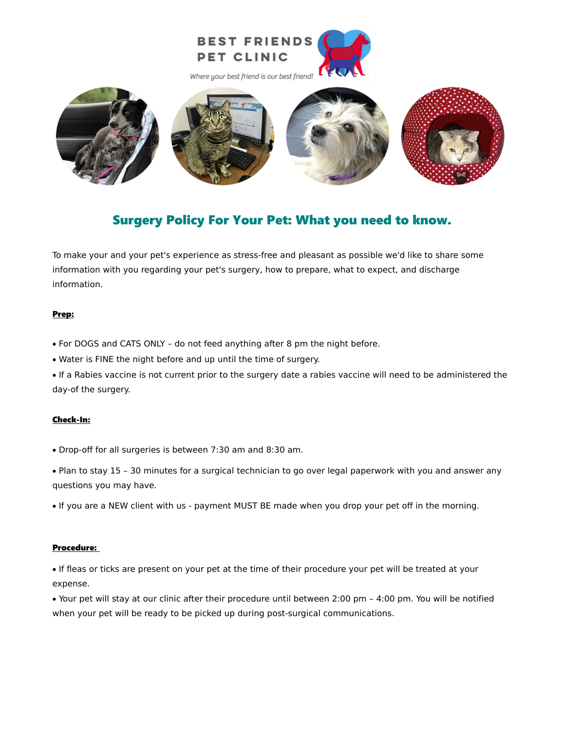



# Surgery Policy For Your Pet: What you need to know.

To make your and your pet's experience as stress-free and pleasant as possible we'd like to share some information with you regarding your pet's surgery, how to prepare, what to expect, and discharge information.

# Prep:

- · For DOGS and CATS ONLY do not feed anything after 8 pm the night before.
- · Water is FINE the night before and up until the time of surgery.

· If a Rabies vaccine is not current prior to the surgery date a rabies vaccine will need to be administered the day-of the surgery.

# Check-In:

- · Drop-off for all surgeries is between 7:30 am and 8:30 am.
- · Plan to stay 15 30 minutes for a surgical technician to go over legal paperwork with you and answer any questions you may have.
- · If you are a NEW client with us payment MUST BE made when you drop your pet off in the morning.

## Procedure:

· If fleas or ticks are present on your pet at the time of their procedure your pet will be treated at your expense.

· Your pet will stay at our clinic after their procedure until between 2:00 pm – 4:00 pm. You will be notified when your pet will be ready to be picked up during post-surgical communications.